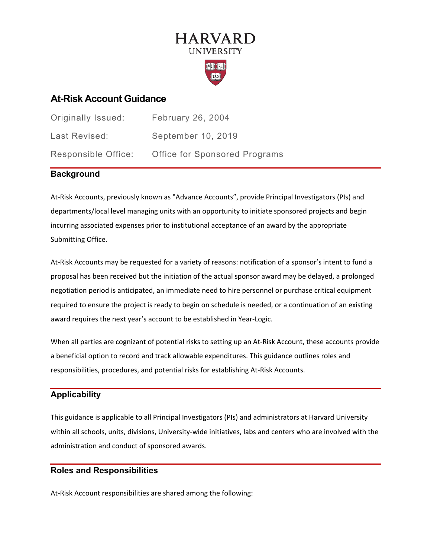# **HARVARD UNIVERSITY**



# **At-Risk Account Guidance**

| <b>Originally Issued:</b> | February 26, 2004                    |
|---------------------------|--------------------------------------|
| Last Revised:             | September 10, 2019                   |
| Responsible Office:       | <b>Office for Sponsored Programs</b> |

# **Background**

At-Risk Accounts, previously known as "Advance Accounts", provide Principal Investigators (PIs) and departments/local level managing units with an opportunity to initiate sponsored projects and begin incurring associated expenses prior to institutional acceptance of an award by the appropriate Submitting Office.

At-Risk Accounts may be requested for a variety of reasons: notification of a sponsor's intent to fund a proposal has been received but the initiation of the actual sponsor award may be delayed, a prolonged negotiation period is anticipated, an immediate need to hire personnel or purchase critical equipment required to ensure the project is ready to begin on schedule is needed, or a continuation of an existing award requires the next year's account to be established in Year-Logic.

When all parties are cognizant of potential risks to setting up an At-Risk Account, these accounts provide a beneficial option to record and track allowable expenditures. This guidance outlines roles and responsibilities, procedures, and potential risks for establishing At-Risk Accounts.

# **Applicability**

This guidance is applicable to all Principal Investigators (PIs) and administrators at Harvard University within all schools, units, divisions, University-wide initiatives, labs and centers who are involved with the administration and conduct of sponsored awards.

# **Roles and Responsibilities**

At-Risk Account responsibilities are shared among the following: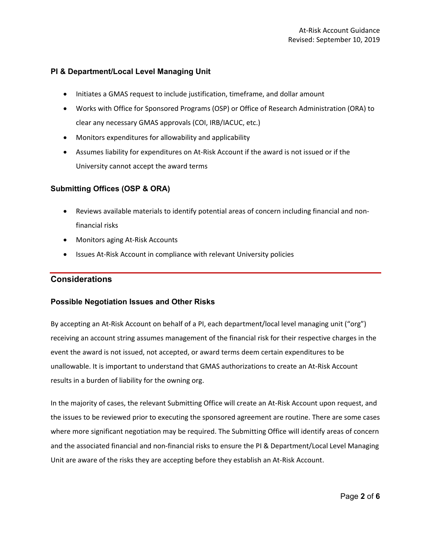# **PI & Department/Local Level Managing Unit**

- Initiates a GMAS request to include justification, timeframe, and dollar amount
- Works with Office for Sponsored Programs (OSP) or Office of Research Administration (ORA) to clear any necessary GMAS approvals (COI, IRB/IACUC, etc.)
- Monitors expenditures for allowability and applicability
- Assumes liability for expenditures on At-Risk Account if the award is not issued or if the University cannot accept the award terms

# **Submitting Offices (OSP & ORA)**

- Reviews available materials to identify potential areas of concern including financial and nonfinancial risks
- Monitors aging At-Risk Accounts
- Issues At-Risk Account in compliance with relevant University policies

# **Considerations**

#### **Possible Negotiation Issues and Other Risks**

By accepting an At-Risk Account on behalf of a PI, each department/local level managing unit ("org") receiving an account string assumes management of the financial risk for their respective charges in the event the award is not issued, not accepted, or award terms deem certain expenditures to be unallowable. It is important to understand that GMAS authorizations to create an At-Risk Account results in a burden of liability for the owning org.

In the majority of cases, the relevant Submitting Office will create an At-Risk Account upon request, and the issues to be reviewed prior to executing the sponsored agreement are routine. There are some cases where more significant negotiation may be required. The Submitting Office will identify areas of concern and the associated financial and non-financial risks to ensure the PI & Department/Local Level Managing Unit are aware of the risks they are accepting before they establish an At-Risk Account.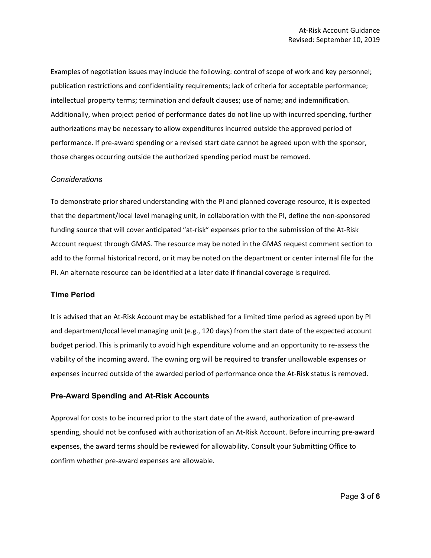Examples of negotiation issues may include the following: control of scope of work and key personnel; publication restrictions and confidentiality requirements; lack of criteria for acceptable performance; intellectual property terms; termination and default clauses; use of name; and indemnification. Additionally, when project period of performance dates do not line up with incurred spending, further authorizations may be necessary to allow expenditures incurred outside the approved period of performance. If pre-award spending or a revised start date cannot be agreed upon with the sponsor, those charges occurring outside the authorized spending period must be removed.

#### *Considerations*

To demonstrate prior shared understanding with the PI and planned coverage resource, it is expected that the department/local level managing unit, in collaboration with the PI, define the non-sponsored funding source that will cover anticipated "at-risk" expenses prior to the submission of the At-Risk Account request through GMAS. The resource may be noted in the GMAS request comment section to add to the formal historical record, or it may be noted on the department or center internal file for the PI. An alternate resource can be identified at a later date if financial coverage is required.

#### **Time Period**

It is advised that an At-Risk Account may be established for a limited time period as agreed upon by PI and department/local level managing unit (e.g., 120 days) from the start date of the expected account budget period. This is primarily to avoid high expenditure volume and an opportunity to re-assess the viability of the incoming award. The owning org will be required to transfer unallowable expenses or expenses incurred outside of the awarded period of performance once the At-Risk status is removed.

#### **Pre-Award Spending and At-Risk Accounts**

Approval for costs to be incurred prior to the start date of the award, authorization of pre-award spending, should not be confused with authorization of an At-Risk Account. Before incurring pre-award expenses, the award terms should be reviewed for allowability. Consult your Submitting Office to confirm whether pre-award expenses are allowable.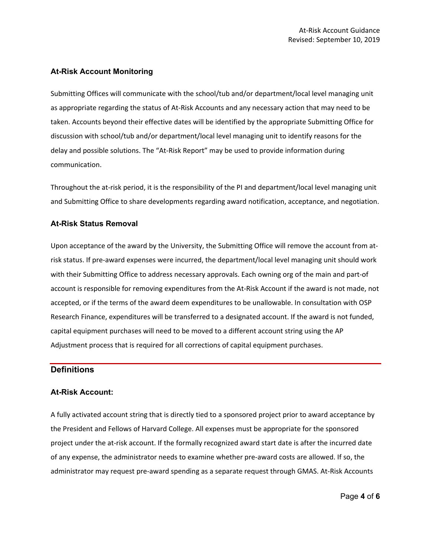#### **At-Risk Account Monitoring**

Submitting Offices will communicate with the school/tub and/or department/local level managing unit as appropriate regarding the status of At-Risk Accounts and any necessary action that may need to be taken. Accounts beyond their effective dates will be identified by the appropriate Submitting Office for discussion with school/tub and/or department/local level managing unit to identify reasons for the delay and possible solutions. The "At-Risk Report" may be used to provide information during communication.

Throughout the at-risk period, it is the responsibility of the PI and department/local level managing unit and Submitting Office to share developments regarding award notification, acceptance, and negotiation.

#### **At-Risk Status Removal**

Upon acceptance of the award by the University, the Submitting Office will remove the account from atrisk status. If pre-award expenses were incurred, the department/local level managing unit should work with their Submitting Office to address necessary approvals. Each owning org of the main and part-of account is responsible for removing expenditures from the At-Risk Account if the award is not made, not accepted, or if the terms of the award deem expenditures to be unallowable. In consultation with OSP Research Finance, expenditures will be transferred to a designated account. If the award is not funded, capital equipment purchases will need to be moved to a different account string using the AP Adjustment process that is required for all corrections of capital equipment purchases.

#### **Definitions**

#### **At-Risk Account:**

A fully activated account string that is directly tied to a sponsored project prior to award acceptance by the President and Fellows of Harvard College. All expenses must be appropriate for the sponsored project under the at-risk account. If the formally recognized award start date is after the incurred date of any expense, the administrator needs to examine whether pre-award costs are allowed. If so, the administrator may request pre-award spending as a separate request through GMAS. At-Risk Accounts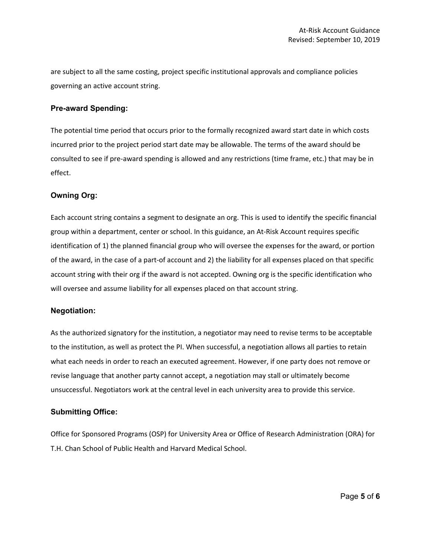are subject to all the same costing, project specific institutional approvals and compliance policies governing an active account string.

#### **Pre-award Spending:**

The potential time period that occurs prior to the formally recognized award start date in which costs incurred prior to the project period start date may be allowable. The terms of the award should be consulted to see if pre-award spending is allowed and any restrictions (time frame, etc.) that may be in effect.

#### **Owning Org:**

Each account string contains a segment to designate an org. This is used to identify the specific financial group within a department, center or school. In this guidance, an At-Risk Account requires specific identification of 1) the planned financial group who will oversee the expenses for the award, or portion of the award, in the case of a part-of account and 2) the liability for all expenses placed on that specific account string with their org if the award is not accepted. Owning org is the specific identification who will oversee and assume liability for all expenses placed on that account string.

#### **Negotiation:**

As the authorized signatory for the institution, a negotiator may need to revise terms to be acceptable to the institution, as well as protect the PI. When successful, a negotiation allows all parties to retain what each needs in order to reach an executed agreement. However, if one party does not remove or revise language that another party cannot accept, a negotiation may stall or ultimately become unsuccessful. Negotiators work at the central level in each university area to provide this service.

#### **Submitting Office:**

Office for Sponsored Programs (OSP) for University Area or Office of Research Administration (ORA) for T.H. Chan School of Public Health and Harvard Medical School.